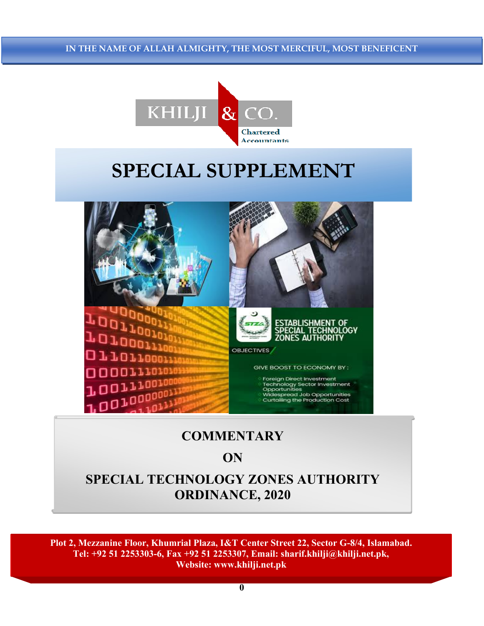IN THE NAME OF ALL AH ALMICHTY THE MOST MERCIFIII MOST RENE Chartered Accountants IN THE NAME OF ALLAH ALMIGHTY, THE MOST MERCIFUL, MOST BENEFICENT



# SPECIAL SUPPLEMENT



## **COMMENTARY**

### **ON**

### SPECIAL TECHNOLOGY ZONES AUTHORITY ORDINANCE, 2020

Plot 2, Mezzanine Floor, Khumrial Plaza, I&T Center Street 22, Sector G-8/4, Islamabad. Tel: +92 51 2253303-6, Fax +92 51 2253307, Email: sharif.khilji@khilji.net.pk, Website: www.khilji.net.pk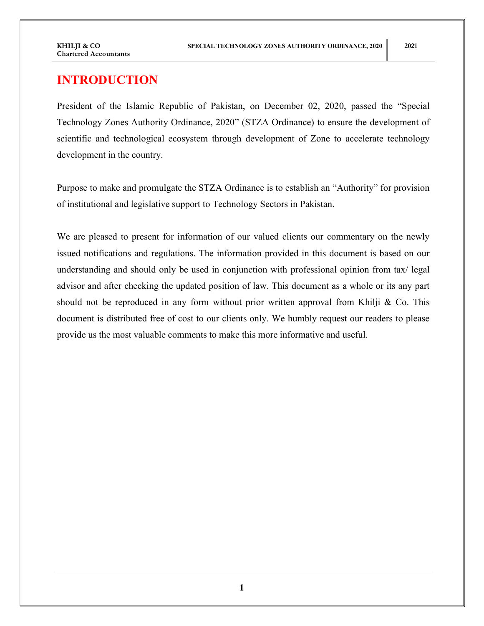### INTRODUCTION

President of the Islamic Republic of Pakistan, on December 02, 2020, passed the "Special Technology Zones Authority Ordinance, 2020" (STZA Ordinance) to ensure the development of scientific and technological ecosystem through development of Zone to accelerate technology development in the country.

Purpose to make and promulgate the STZA Ordinance is to establish an "Authority" for provision of institutional and legislative support to Technology Sectors in Pakistan.

We are pleased to present for information of our valued clients our commentary on the newly issued notifications and regulations. The information provided in this document is based on our understanding and should only be used in conjunction with professional opinion from tax/ legal advisor and after checking the updated position of law. This document as a whole or its any part should not be reproduced in any form without prior written approval from Khilji  $\&$  Co. This document is distributed free of cost to our clients only. We humbly request our readers to please provide us the most valuable comments to make this more informative and useful.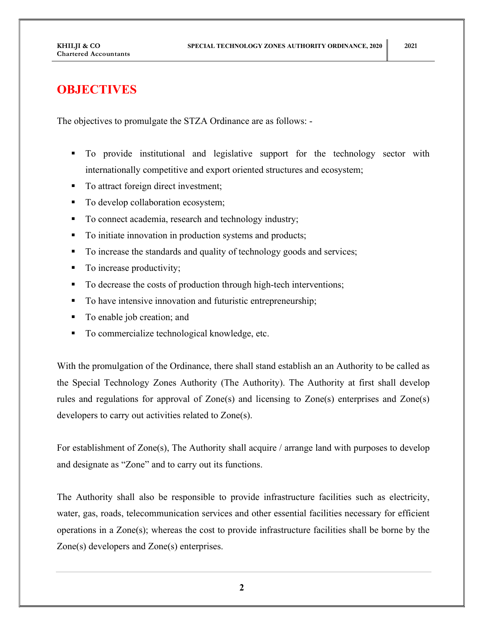### **OBJECTIVES**

The objectives to promulgate the STZA Ordinance are as follows: -

- To provide institutional and legislative support for the technology sector with internationally competitive and export oriented structures and ecosystem;
- To attract foreign direct investment;
- To develop collaboration ecosystem;
- To connect academia, research and technology industry;
- To initiate innovation in production systems and products;
- To increase the standards and quality of technology goods and services;
- To increase productivity;
- To decrease the costs of production through high-tech interventions;
- To have intensive innovation and futuristic entrepreneurship;
- To enable job creation; and
- To commercialize technological knowledge, etc.

With the promulgation of the Ordinance, there shall stand establish an an Authority to be called as the Special Technology Zones Authority (The Authority). The Authority at first shall develop rules and regulations for approval of Zone(s) and licensing to Zone(s) enterprises and Zone(s) developers to carry out activities related to Zone(s).

For establishment of Zone(s), The Authority shall acquire / arrange land with purposes to develop and designate as "Zone" and to carry out its functions.

The Authority shall also be responsible to provide infrastructure facilities such as electricity, water, gas, roads, telecommunication services and other essential facilities necessary for efficient operations in a Zone(s); whereas the cost to provide infrastructure facilities shall be borne by the Zone(s) developers and Zone(s) enterprises.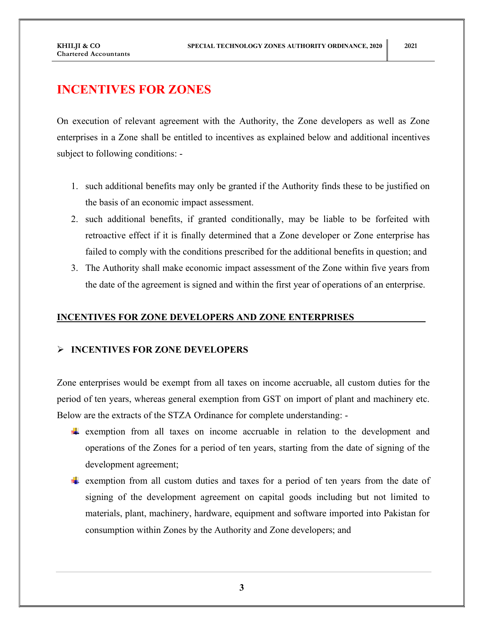### INCENTIVES FOR ZONES

On execution of relevant agreement with the Authority, the Zone developers as well as Zone enterprises in a Zone shall be entitled to incentives as explained below and additional incentives subject to following conditions: -

- 1. such additional benefits may only be granted if the Authority finds these to be justified on the basis of an economic impact assessment.
- 2. such additional benefits, if granted conditionally, may be liable to be forfeited with retroactive effect if it is finally determined that a Zone developer or Zone enterprise has failed to comply with the conditions prescribed for the additional benefits in question; and
- 3. The Authority shall make economic impact assessment of the Zone within five years from the date of the agreement is signed and within the first year of operations of an enterprise.

#### INCENTIVES FOR ZONE DEVELOPERS AND ZONE ENTERPRISES

#### > INCENTIVES FOR ZONE DEVELOPERS

Zone enterprises would be exempt from all taxes on income accruable, all custom duties for the period of ten years, whereas general exemption from GST on import of plant and machinery etc. Below are the extracts of the STZA Ordinance for complete understanding: -

- exemption from all taxes on income accruable in relation to the development and operations of the Zones for a period of ten years, starting from the date of signing of the development agreement;
- $\ddot{\phantom{a}}$  exemption from all custom duties and taxes for a period of ten years from the date of signing of the development agreement on capital goods including but not limited to materials, plant, machinery, hardware, equipment and software imported into Pakistan for consumption within Zones by the Authority and Zone developers; and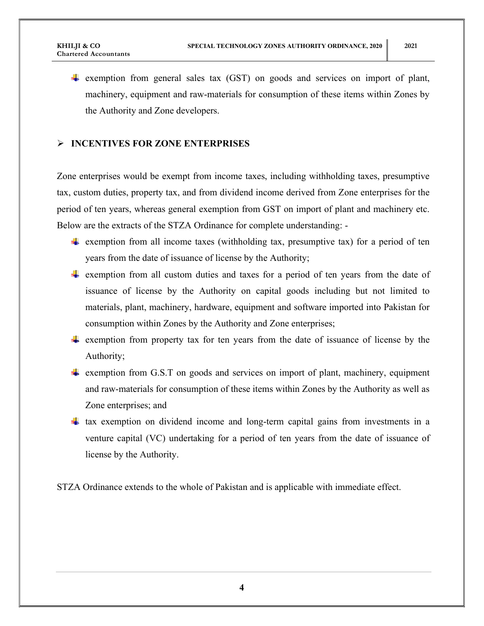$\overline{\text{+}}$  exemption from general sales tax (GST) on goods and services on import of plant, machinery, equipment and raw-materials for consumption of these items within Zones by the Authority and Zone developers.

### > INCENTIVES FOR ZONE ENTERPRISES

Zone enterprises would be exempt from income taxes, including withholding taxes, presumptive tax, custom duties, property tax, and from dividend income derived from Zone enterprises for the period of ten years, whereas general exemption from GST on import of plant and machinery etc. Below are the extracts of the STZA Ordinance for complete understanding: -

- **Example 1** exemption from all income taxes (withholding tax, presumptive tax) for a period of ten years from the date of issuance of license by the Authority;
- $\ddot{\phantom{a}}$  exemption from all custom duties and taxes for a period of ten years from the date of issuance of license by the Authority on capital goods including but not limited to materials, plant, machinery, hardware, equipment and software imported into Pakistan for consumption within Zones by the Authority and Zone enterprises;
- $\ddot{\phantom{a}}$  exemption from property tax for ten years from the date of issuance of license by the Authority;
- $\ddot{\bullet}$  exemption from G.S.T on goods and services on import of plant, machinery, equipment and raw-materials for consumption of these items within Zones by the Authority as well as Zone enterprises; and
- $\pm$  tax exemption on dividend income and long-term capital gains from investments in a venture capital (VC) undertaking for a period of ten years from the date of issuance of license by the Authority.

STZA Ordinance extends to the whole of Pakistan and is applicable with immediate effect.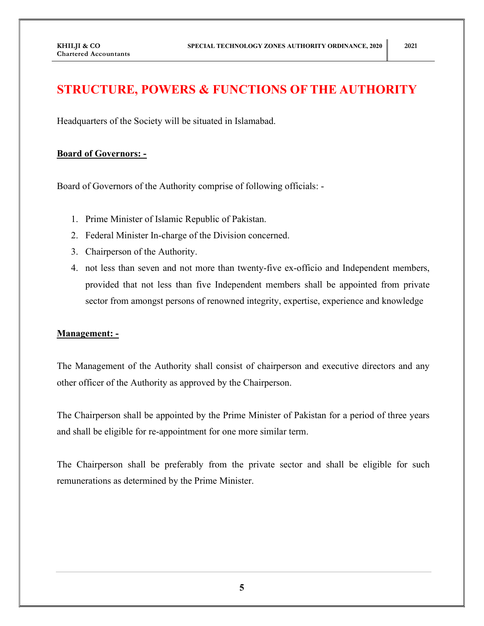### STRUCTURE, POWERS & FUNCTIONS OF THE AUTHORITY

Headquarters of the Society will be situated in Islamabad.

#### Board of Governors: -

Board of Governors of the Authority comprise of following officials: -

- 1. Prime Minister of Islamic Republic of Pakistan.
- 2. Federal Minister In-charge of the Division concerned.
- 3. Chairperson of the Authority.
- 4. not less than seven and not more than twenty-five ex-officio and Independent members, provided that not less than five Independent members shall be appointed from private sector from amongst persons of renowned integrity, expertise, experience and knowledge

#### Management: -

The Management of the Authority shall consist of chairperson and executive directors and any other officer of the Authority as approved by the Chairperson.

The Chairperson shall be appointed by the Prime Minister of Pakistan for a period of three years and shall be eligible for re-appointment for one more similar term.

The Chairperson shall be preferably from the private sector and shall be eligible for such remunerations as determined by the Prime Minister.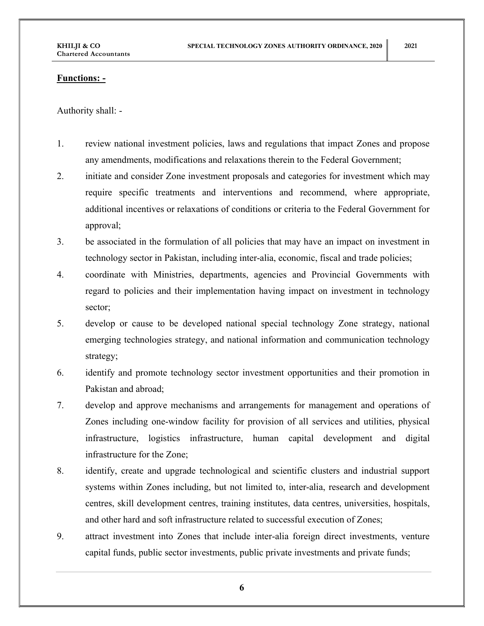#### Functions: -

Authority shall: -

- 1. review national investment policies, laws and regulations that impact Zones and propose any amendments, modifications and relaxations therein to the Federal Government;
- 2. initiate and consider Zone investment proposals and categories for investment which may require specific treatments and interventions and recommend, where appropriate, additional incentives or relaxations of conditions or criteria to the Federal Government for approval;
- 3. be associated in the formulation of all policies that may have an impact on investment in technology sector in Pakistan, including inter-alia, economic, fiscal and trade policies;
- 4. coordinate with Ministries, departments, agencies and Provincial Governments with regard to policies and their implementation having impact on investment in technology sector;
- 5. develop or cause to be developed national special technology Zone strategy, national emerging technologies strategy, and national information and communication technology strategy;
- 6. identify and promote technology sector investment opportunities and their promotion in Pakistan and abroad;
- 7. develop and approve mechanisms and arrangements for management and operations of Zones including one-window facility for provision of all services and utilities, physical infrastructure, logistics infrastructure, human capital development and digital infrastructure for the Zone;
- 8. identify, create and upgrade technological and scientific clusters and industrial support systems within Zones including, but not limited to, inter-alia, research and development centres, skill development centres, training institutes, data centres, universities, hospitals, and other hard and soft infrastructure related to successful execution of Zones;
- 9. attract investment into Zones that include inter-alia foreign direct investments, venture capital funds, public sector investments, public private investments and private funds;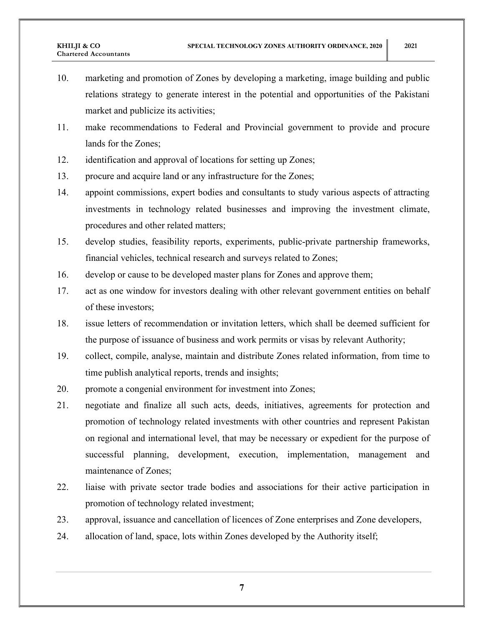- 10. marketing and promotion of Zones by developing a marketing, image building and public relations strategy to generate interest in the potential and opportunities of the Pakistani market and publicize its activities;
- 11. make recommendations to Federal and Provincial government to provide and procure lands for the Zones;
- 12. identification and approval of locations for setting up Zones;
- 13. procure and acquire land or any infrastructure for the Zones;
- 14. appoint commissions, expert bodies and consultants to study various aspects of attracting investments in technology related businesses and improving the investment climate, procedures and other related matters;
- 15. develop studies, feasibility reports, experiments, public-private partnership frameworks, financial vehicles, technical research and surveys related to Zones;
- 16. develop or cause to be developed master plans for Zones and approve them;
- 17. act as one window for investors dealing with other relevant government entities on behalf of these investors;
- 18. issue letters of recommendation or invitation letters, which shall be deemed sufficient for the purpose of issuance of business and work permits or visas by relevant Authority;
- 19. collect, compile, analyse, maintain and distribute Zones related information, from time to time publish analytical reports, trends and insights;
- 20. promote a congenial environment for investment into Zones;
- 21. negotiate and finalize all such acts, deeds, initiatives, agreements for protection and promotion of technology related investments with other countries and represent Pakistan on regional and international level, that may be necessary or expedient for the purpose of successful planning, development, execution, implementation, management and maintenance of Zones;
- 22. liaise with private sector trade bodies and associations for their active participation in promotion of technology related investment;
- 23. approval, issuance and cancellation of licences of Zone enterprises and Zone developers,
- 24. allocation of land, space, lots within Zones developed by the Authority itself;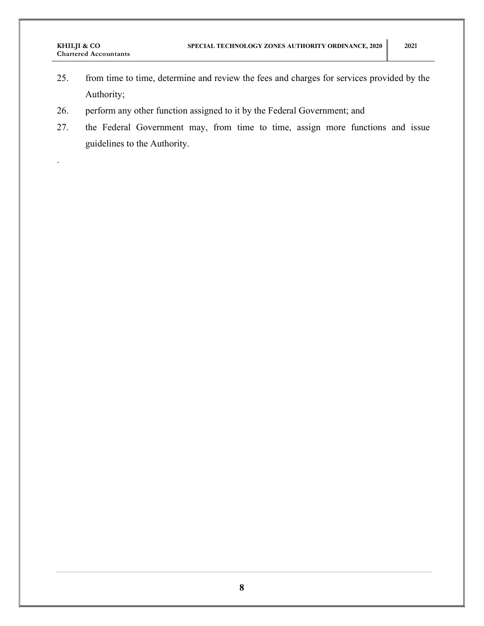.

- 25. from time to time, determine and review the fees and charges for services provided by the Authority;
- 26. perform any other function assigned to it by the Federal Government; and
- 27. the Federal Government may, from time to time, assign more functions and issue guidelines to the Authority.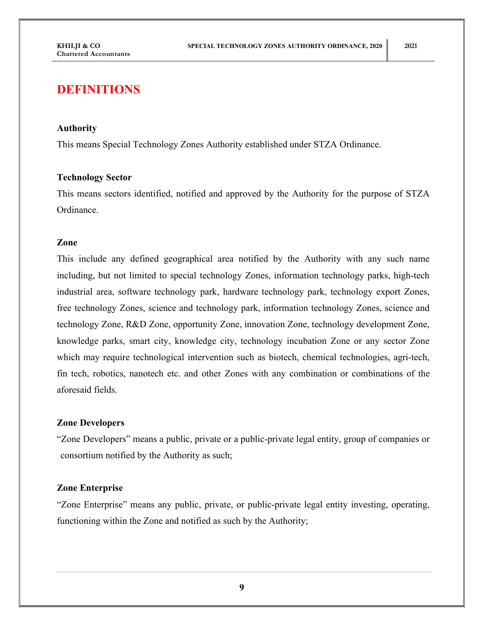### DEFINITIONS

#### Authority

This means Special Technology Zones Authority established under STZA Ordinance.

#### Technology Sector

This means sectors identified, notified and approved by the Authority for the purpose of STZA Ordinance.

#### Zone

This include any defined geographical area notified by the Authority with any such name including, but not limited to special technology Zones, information technology parks, high-tech industrial area, software technology park, hardware technology park, technology export Zones, free technology Zones, science and technology park, information technology Zones, science and technology Zone, R&D Zone, opportunity Zone, innovation Zone, technology development Zone, knowledge parks, smart city, knowledge city, technology incubation Zone or any sector Zone which may require technological intervention such as biotech, chemical technologies, agri-tech, fin tech, robotics, nanotech etc. and other Zones with any combination or combinations of the aforesaid fields.

#### Zone Developers

"Zone Developers" means a public, private or a public-private legal entity, group of companies or consortium notified by the Authority as such;

#### Zone Enterprise

"Zone Enterprise" means any public, private, or public-private legal entity investing, operating, functioning within the Zone and notified as such by the Authority;